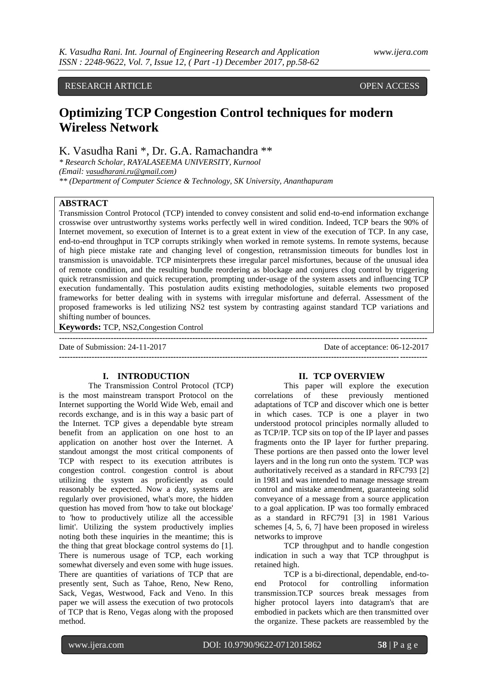## RESEARCH ARTICLE OPEN ACCESS

# **Optimizing TCP Congestion Control techniques for modern Wireless Network**

K. Vasudha Rani \*, Dr. G.A. Ramachandra \*\*

*\* Research Scholar, RAYALASEEMA UNIVERSITY, Kurnool* 

*(Email: [vasudharani.ru@gmail.com](http://vasudharani.ru@gmail.com/RUvasudharani))*

*\*\* (Department of Computer Science & Technology, SK University, Ananthapuram*

## **ABSTRACT**

Transmission Control Protocol (TCP) intended to convey consistent and solid end-to-end information exchange crosswise over untrustworthy systems works perfectly well in wired condition. Indeed, TCP bears the 90% of Internet movement, so execution of Internet is to a great extent in view of the execution of TCP. In any case, end-to-end throughput in TCP corrupts strikingly when worked in remote systems. In remote systems, because of high piece mistake rate and changing level of congestion, retransmission timeouts for bundles lost in transmission is unavoidable. TCP misinterprets these irregular parcel misfortunes, because of the unusual idea of remote condition, and the resulting bundle reordering as blockage and conjures clog control by triggering quick retransmission and quick recuperation, prompting under-usage of the system assets and influencing TCP execution fundamentally. This postulation audits existing methodologies, suitable elements two proposed frameworks for better dealing with in systems with irregular misfortune and deferral. Assessment of the proposed frameworks is led utilizing NS2 test system by contrasting against standard TCP variations and shifting number of bounces.

**Keywords:** TCP, NS2,Congestion Control

**---------------------------------------------------------------------------------------------------------------------------------------** Date of Submission: 24-11-2017 Date of acceptance: 06-12-2017 **---------------------------------------------------------------------------------------------------------------------------------------**

## **I. INTRODUCTION**

The Transmission Control Protocol (TCP) is the most mainstream transport Protocol on the Internet supporting the World Wide Web, email and records exchange, and is in this way a basic part of the Internet. TCP gives a dependable byte stream benefit from an application on one host to an application on another host over the Internet. A standout amongst the most critical components of TCP with respect to its execution attributes is congestion control. congestion control is about utilizing the system as proficiently as could reasonably be expected. Now a day, systems are regularly over provisioned, what's more, the hidden question has moved from 'how to take out blockage' to 'how to productively utilize all the accessible limit'. Utilizing the system productively implies noting both these inquiries in the meantime; this is the thing that great blockage control systems do [1]. There is numerous usage of TCP, each working somewhat diversely and even some with huge issues. There are quantities of variations of TCP that are presently sent, Such as Tahoe, Reno, New Reno, Sack, Vegas, Westwood, Fack and Veno. In this paper we will assess the execution of two protocols of TCP that is Reno, Vegas along with the proposed method.

## **II. TCP OVERVIEW**

This paper will explore the execution correlations of these previously mentioned adaptations of TCP and discover which one is better in which cases. TCP is one a player in two understood protocol principles normally alluded to as TCP/IP. TCP sits on top of the IP layer and passes fragments onto the IP layer for further preparing. These portions are then passed onto the lower level layers and in the long run onto the system. TCP was authoritatively received as a standard in RFC793 [2] in 1981 and was intended to manage message stream control and mistake amendment, guaranteeing solid conveyance of a message from a source application to a goal application. IP was too formally embraced as a standard in RFC791 [3] in 1981 Various schemes [4, 5, 6, 7] have been proposed in wireless networks to improve

TCP throughput and to handle congestion indication in such a way that TCP throughput is retained high.

TCP is a bi-directional, dependable, end-toend Protocol for controlling information transmission.TCP sources break messages from higher protocol layers into datagram's that are embodied in packets which are then transmitted over the organize. These packets are reassembled by the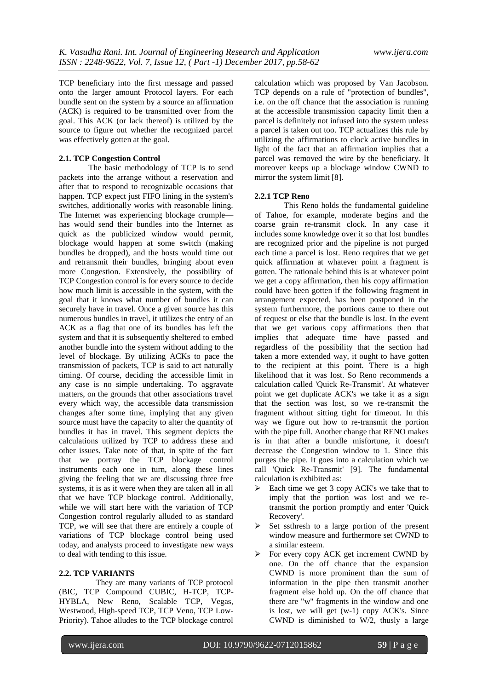TCP beneficiary into the first message and passed onto the larger amount Protocol layers. For each bundle sent on the system by a source an affirmation (ACK) is required to be transmitted over from the goal. This ACK (or lack thereof) is utilized by the source to figure out whether the recognized parcel was effectively gotten at the goal.

## **2.1. TCP Congestion Control**

The basic methodology of TCP is to send packets into the arrange without a reservation and after that to respond to recognizable occasions that happen. TCP expect just FIFO lining in the system's switches, additionally works with reasonable lining. The Internet was experiencing blockage crumple has would send their bundles into the Internet as quick as the publicized window would permit, blockage would happen at some switch (making bundles be dropped), and the hosts would time out and retransmit their bundles, bringing about even more Congestion. Extensively, the possibility of TCP Congestion control is for every source to decide how much limit is accessible in the system, with the goal that it knows what number of bundles it can securely have in travel. Once a given source has this numerous bundles in travel, it utilizes the entry of an ACK as a flag that one of its bundles has left the system and that it is subsequently sheltered to embed another bundle into the system without adding to the level of blockage. By utilizing ACKs to pace the transmission of packets, TCP is said to act naturally timing. Of course, deciding the accessible limit in any case is no simple undertaking. To aggravate matters, on the grounds that other associations travel every which way, the accessible data transmission changes after some time, implying that any given source must have the capacity to alter the quantity of bundles it has in travel. This segment depicts the calculations utilized by TCP to address these and other issues. Take note of that, in spite of the fact that we portray the TCP blockage control instruments each one in turn, along these lines giving the feeling that we are discussing three free systems, it is as it were when they are taken all in all that we have TCP blockage control. Additionally, while we will start here with the variation of TCP Congestion control regularly alluded to as standard TCP, we will see that there are entirely a couple of variations of TCP blockage control being used today, and analysts proceed to investigate new ways to deal with tending to this issue.

## **2.2. TCP VARIANTS**

 They are many variants of TCP protocol (BIC, TCP Compound CUBIC, H-TCP, TCP-HYBLA, New Reno, Scalable TCP, Vegas, Westwood, High-speed TCP, TCP Veno, TCP Low-Priority). Tahoe alludes to the TCP blockage control

calculation which was proposed by Van Jacobson. TCP depends on a rule of "protection of bundles", i.e. on the off chance that the association is running at the accessible transmission capacity limit then a parcel is definitely not infused into the system unless a parcel is taken out too. TCP actualizes this rule by utilizing the affirmations to clock active bundles in light of the fact that an affirmation implies that a parcel was removed the wire by the beneficiary. It moreover keeps up a blockage window CWND to mirror the system limit [8].

## **2.2.1 TCP Reno**

This Reno holds the fundamental guideline of Tahoe, for example, moderate begins and the coarse grain re-transmit clock. In any case it includes some knowledge over it so that lost bundles are recognized prior and the pipeline is not purged each time a parcel is lost. Reno requires that we get quick affirmation at whatever point a fragment is gotten. The rationale behind this is at whatever point we get a copy affirmation, then his copy affirmation could have been gotten if the following fragment in arrangement expected, has been postponed in the system furthermore, the portions came to there out of request or else that the bundle is lost. In the event that we get various copy affirmations then that implies that adequate time have passed and regardless of the possibility that the section had taken a more extended way, it ought to have gotten to the recipient at this point. There is a high likelihood that it was lost. So Reno recommends a calculation called 'Quick Re-Transmit'. At whatever point we get duplicate ACK's we take it as a sign that the section was lost, so we re-transmit the fragment without sitting tight for timeout. In this way we figure out how to re-transmit the portion with the pipe full. Another change that RENO makes is in that after a bundle misfortune, it doesn't decrease the Congestion window to 1. Since this purges the pipe. It goes into a calculation which we call 'Quick Re-Transmit' [9]. The fundamental calculation is exhibited as:

- Each time we get 3 copy ACK's we take that to imply that the portion was lost and we retransmit the portion promptly and enter 'Quick Recovery'.
- $\triangleright$  Set ssthresh to a large portion of the present window measure and furthermore set CWND to a similar esteem.
- $\triangleright$  For every copy ACK get increment CWND by one. On the off chance that the expansion CWND is more prominent than the sum of information in the pipe then transmit another fragment else hold up. On the off chance that there are "w" fragments in the window and one is lost, we will get (w-1) copy ACK's. Since CWND is diminished to W/2, thusly a large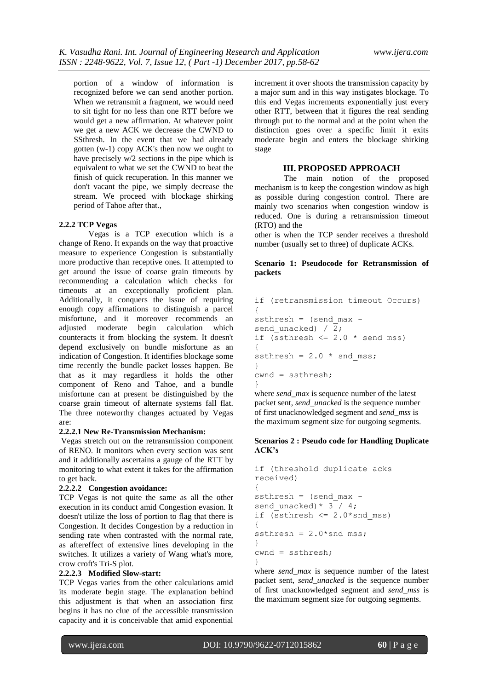portion of a window of information is recognized before we can send another portion. When we retransmit a fragment, we would need to sit tight for no less than one RTT before we would get a new affirmation. At whatever point we get a new ACK we decrease the CWND to SSthresh. In the event that we had already gotten (w-1) copy ACK's then now we ought to have precisely w/2 sections in the pipe which is equivalent to what we set the CWND to beat the finish of quick recuperation. In this manner we don't vacant the pipe, we simply decrease the stream. We proceed with blockage shirking period of Tahoe after that.,

## **2.2.2 TCP Vegas**

Vegas is a TCP execution which is a change of Reno. It expands on the way that proactive measure to experience Congestion is substantially more productive than receptive ones. It attempted to get around the issue of coarse grain timeouts by recommending a calculation which checks for timeouts at an exceptionally proficient plan. Additionally, it conquers the issue of requiring enough copy affirmations to distinguish a parcel misfortune, and it moreover recommends an adjusted moderate begin calculation which counteracts it from blocking the system. It doesn't depend exclusively on bundle misfortune as an indication of Congestion. It identifies blockage some time recently the bundle packet losses happen. Be that as it may regardless it holds the other component of Reno and Tahoe, and a bundle misfortune can at present be distinguished by the coarse grain timeout of alternate systems fall flat. The three noteworthy changes actuated by Vegas are:

#### **2.2.2.1 New Re-Transmission Mechanism:**

Vegas stretch out on the retransmission component of RENO. It monitors when every section was sent and it additionally ascertains a gauge of the RTT by monitoring to what extent it takes for the affirmation to get back.

## **2.2.2.2 Congestion avoidance:**

TCP Vegas is not quite the same as all the other execution in its conduct amid Congestion evasion. It doesn't utilize the loss of portion to flag that there is Congestion. It decides Congestion by a reduction in sending rate when contrasted with the normal rate, as aftereffect of extensive lines developing in the switches. It utilizes a variety of Wang what's more, crow croft's Tri-S plot.

#### **2.2.2.3 Modified Slow-start:**

TCP Vegas varies from the other calculations amid its moderate begin stage. The explanation behind this adjustment is that when an association first begins it has no clue of the accessible transmission capacity and it is conceivable that amid exponential

increment it over shoots the transmission capacity by a major sum and in this way instigates blockage. To this end Vegas increments exponentially just every other RTT, between that it figures the real sending through put to the normal and at the point when the distinction goes over a specific limit it exits moderate begin and enters the blockage shirking stage

## **III. PROPOSED APPROACH**

The main notion of the proposed mechanism is to keep the congestion window as high as possible during congestion control. There are mainly two scenarios when congestion window is reduced. One is during a retransmission timeout (RTO) and the

other is when the TCP sender receives a threshold number (usually set to three) of duplicate ACKs.

## **Scenario 1: Pseudocode for Retransmission of packets**

```
if (retransmission timeout Occurs)
{
ssthresh = (send max -send unacked) / \overline{2};
if (ssthresh \leq 2.0 \star send mss)
{
ssthresh = 2.0 * snd mss;
}
cwnd = ssthresh;
}
```
where *send* max is sequence number of the latest packet sent, *send\_unacked* is the sequence number of first unacknowledged segment and *send\_mss* is the maximum segment size for outgoing segments.

#### **Scenarios 2 : Pseudo code for Handling Duplicate ACK's**

```
if (threshold duplicate acks 
received)
{
ssthresh = (send max -send_unacked) * 3^{-}/ 4;
if (ssthresh \leq 2.0*snd mss)
{
ssthresh = 2.0*snd mss;
}
cwnd = ssthresh;
}
```
where *send*\_*max* is sequence number of the latest packet sent, *send*\_*unacked* is the sequence number of first unacknowledged segment and *send*\_*mss* is the maximum segment size for outgoing segments.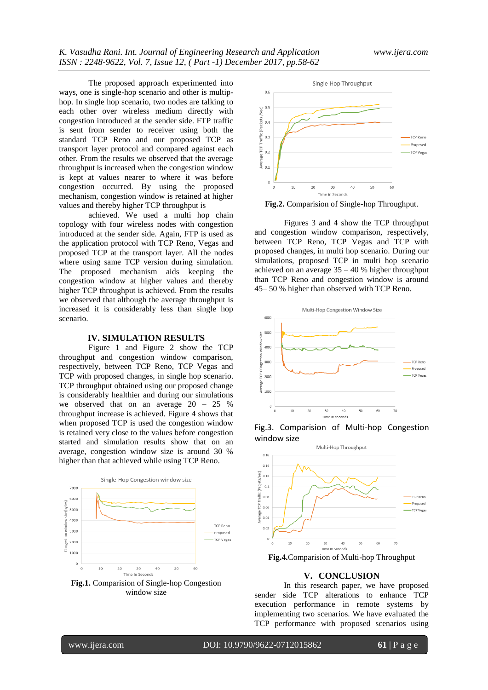The proposed approach experimented into ways, one is single-hop scenario and other is multiphop. In single hop scenario, two nodes are talking to each other over wireless medium directly with congestion introduced at the sender side. FTP traffic is sent from sender to receiver using both the standard TCP Reno and our proposed TCP as transport layer protocol and compared against each other. From the results we observed that the average throughput is increased when the congestion window is kept at values nearer to where it was before congestion occurred. By using the proposed mechanism, congestion window is retained at higher values and thereby higher TCP throughput is

achieved. We used a multi hop chain topology with four wireless nodes with congestion introduced at the sender side. Again, FTP is used as the application protocol with TCP Reno, Vegas and proposed TCP at the transport layer. All the nodes where using same TCP version during simulation. The proposed mechanism aids keeping the congestion window at higher values and thereby higher TCP throughput is achieved. From the results we observed that although the average throughput is increased it is considerably less than single hop scenario.

#### **IV. SIMULATION RESULTS**

Figure 1 and Figure 2 show the TCP throughput and congestion window comparison, respectively, between TCP Reno, TCP Vegas and TCP with proposed changes, in single hop scenario. TCP throughput obtained using our proposed change is considerably healthier and during our simulations we observed that on an average 20 – 25 % throughput increase is achieved. Figure 4 shows that when proposed TCP is used the congestion window is retained very close to the values before congestion started and simulation results show that on an average, congestion window size is around 30 % higher than that achieved while using TCP Reno.



window size



**Fig.2.** Comparision of Single-hop Throughput.

Figures 3 and 4 show the TCP throughput and congestion window comparison, respectively, between TCP Reno, TCP Vegas and TCP with proposed changes, in multi hop scenario. During our simulations, proposed TCP in multi hop scenario achieved on an average 35 – 40 % higher throughput than TCP Reno and congestion window is around 45– 50 % higher than observed with TCP Reno.







**Fig.4.**Comparision of Multi-hop Throughput

## **V. CONCLUSION**

In this research paper, we have proposed sender side TCP alterations to enhance TCP execution performance in remote systems by implementing two scenarios. We have evaluated the TCP performance with proposed scenarios using